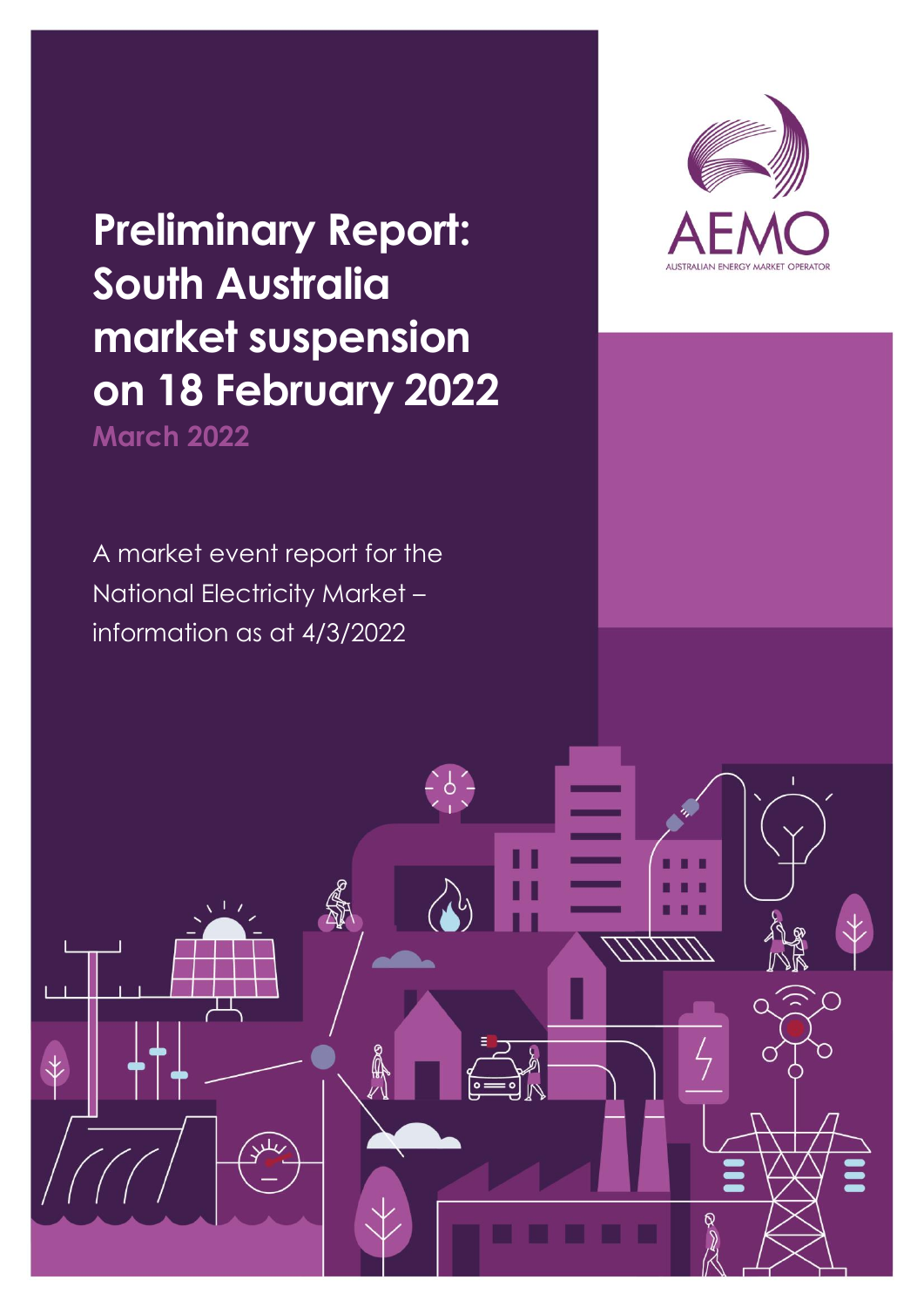**Preliminary Report: South Australia market suspension on 18 February 2022 March 2022**

A market event report for the National Electricity Market – information as at 4/3/2022

 $\breve{\mathbf{t}}$ 

**A** 

 $\mathbb{R}$ 

 $\frac{1}{2}6\frac{1}{2}$ 

<u>111/117</u>

**THE RE** 

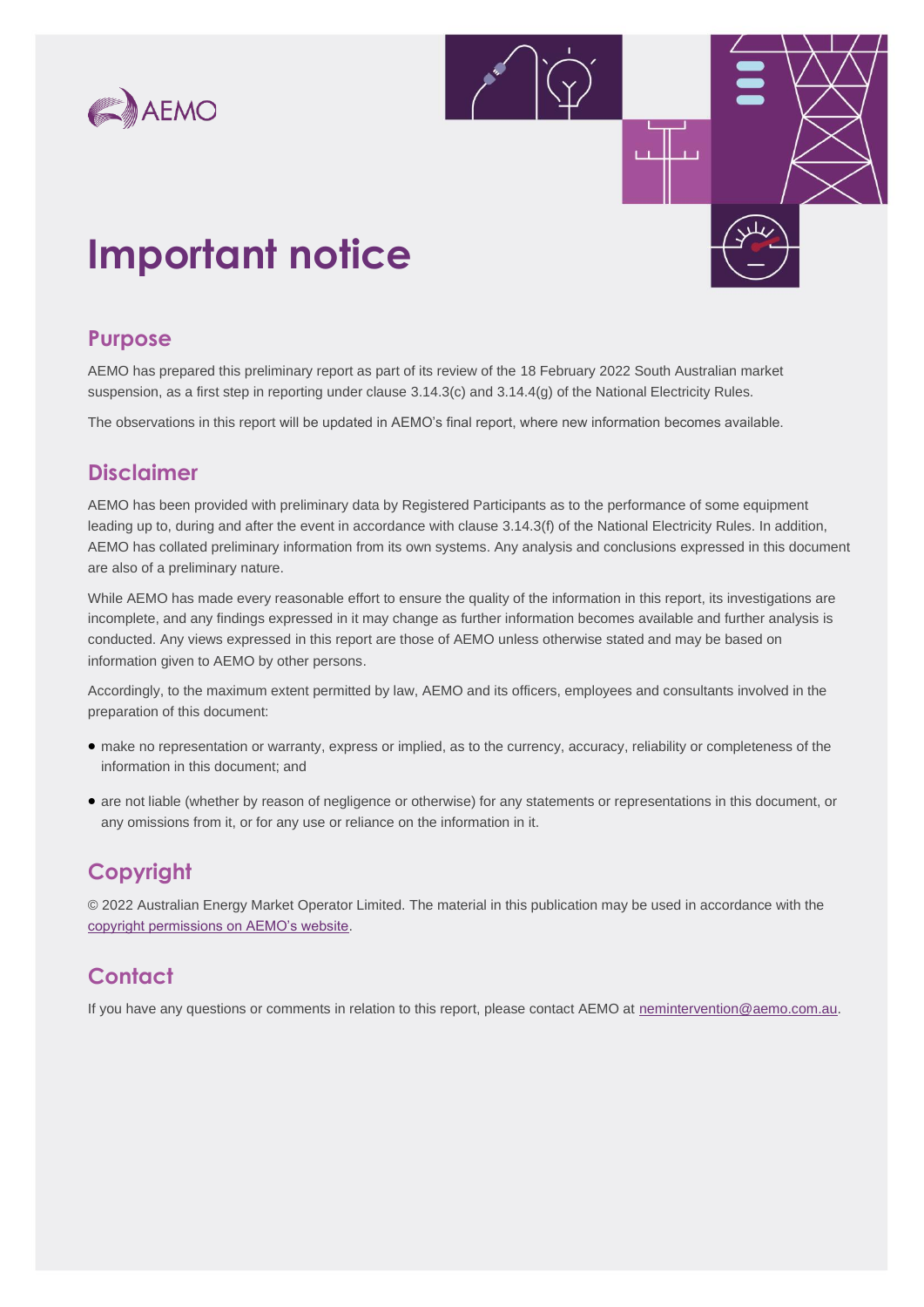



## **Important notice**

### **Purpose**

AEMO has prepared this preliminary report as part of its review of the 18 February 2022 South Australian market suspension, as a first step in reporting under clause 3.14.3(c) and 3.14.4(g) of the National Electricity Rules.

The observations in this report will be updated in AEMO's final report, where new information becomes available.

### **Disclaimer**

AEMO has been provided with preliminary data by Registered Participants as to the performance of some equipment leading up to, during and after the event in accordance with clause 3.14.3(f) of the National Electricity Rules. In addition, AEMO has collated preliminary information from its own systems. Any analysis and conclusions expressed in this document are also of a preliminary nature.

While AEMO has made every reasonable effort to ensure the quality of the information in this report, its investigations are incomplete, and any findings expressed in it may change as further information becomes available and further analysis is conducted. Any views expressed in this report are those of AEMO unless otherwise stated and may be based on information given to AEMO by other persons.

Accordingly, to the maximum extent permitted by law, AEMO and its officers, employees and consultants involved in the preparation of this document:

- make no representation or warranty, express or implied, as to the currency, accuracy, reliability or completeness of the information in this document; and
- are not liable (whether by reason of negligence or otherwise) for any statements or representations in this document, or any omissions from it, or for any use or reliance on the information in it.

### **Copyright**

© 2022 Australian Energy Market Operator Limited. The material in this publication may be used in accordance with the [copyright permissions on AEMO's website.](https://aemo.com.au/privacy-and-legal-notices/copyright-permissions)

### **Contact**

If you have any questions or comments in relation to this report, please contact AEMO at [nemintervention@aemo.com.au.](mailto:nemintervention@aemo.com.au)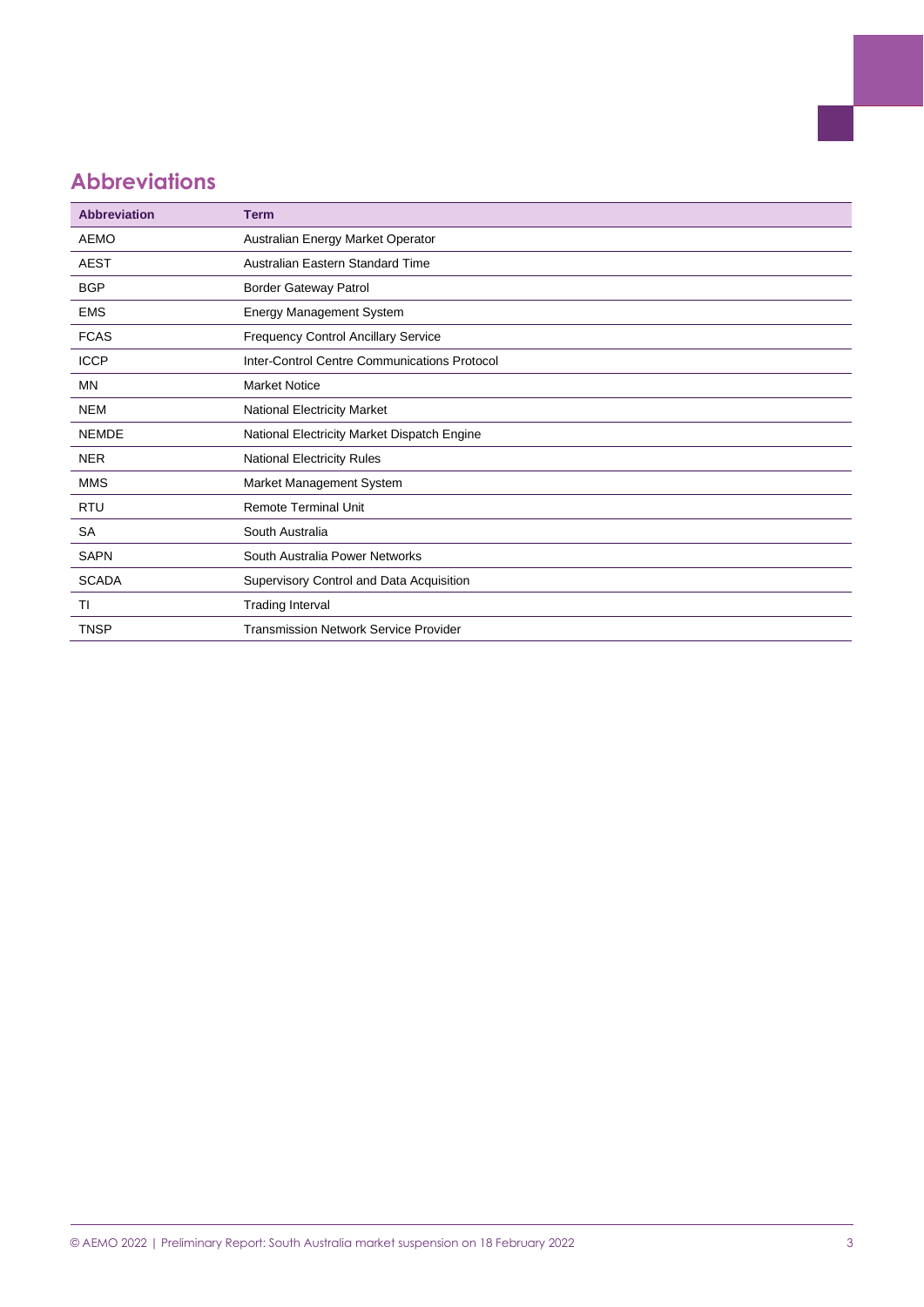### **Abbreviations**

| <b>Abbreviation</b> | <b>Term</b>                                  |
|---------------------|----------------------------------------------|
| <b>AEMO</b>         | Australian Energy Market Operator            |
| <b>AEST</b>         | Australian Eastern Standard Time             |
| <b>BGP</b>          | <b>Border Gateway Patrol</b>                 |
| <b>EMS</b>          | <b>Energy Management System</b>              |
| <b>FCAS</b>         | <b>Frequency Control Ancillary Service</b>   |
| <b>ICCP</b>         | Inter-Control Centre Communications Protocol |
| MN                  | <b>Market Notice</b>                         |
| <b>NEM</b>          | <b>National Electricity Market</b>           |
| <b>NEMDE</b>        | National Electricity Market Dispatch Engine  |
| <b>NER</b>          | National Electricity Rules                   |
| <b>MMS</b>          | Market Management System                     |
| <b>RTU</b>          | <b>Remote Terminal Unit</b>                  |
| <b>SA</b>           | South Australia                              |
| <b>SAPN</b>         | South Australia Power Networks               |
| <b>SCADA</b>        | Supervisory Control and Data Acquisition     |
| TI                  | <b>Trading Interval</b>                      |
| TNSP                | <b>Transmission Network Service Provider</b> |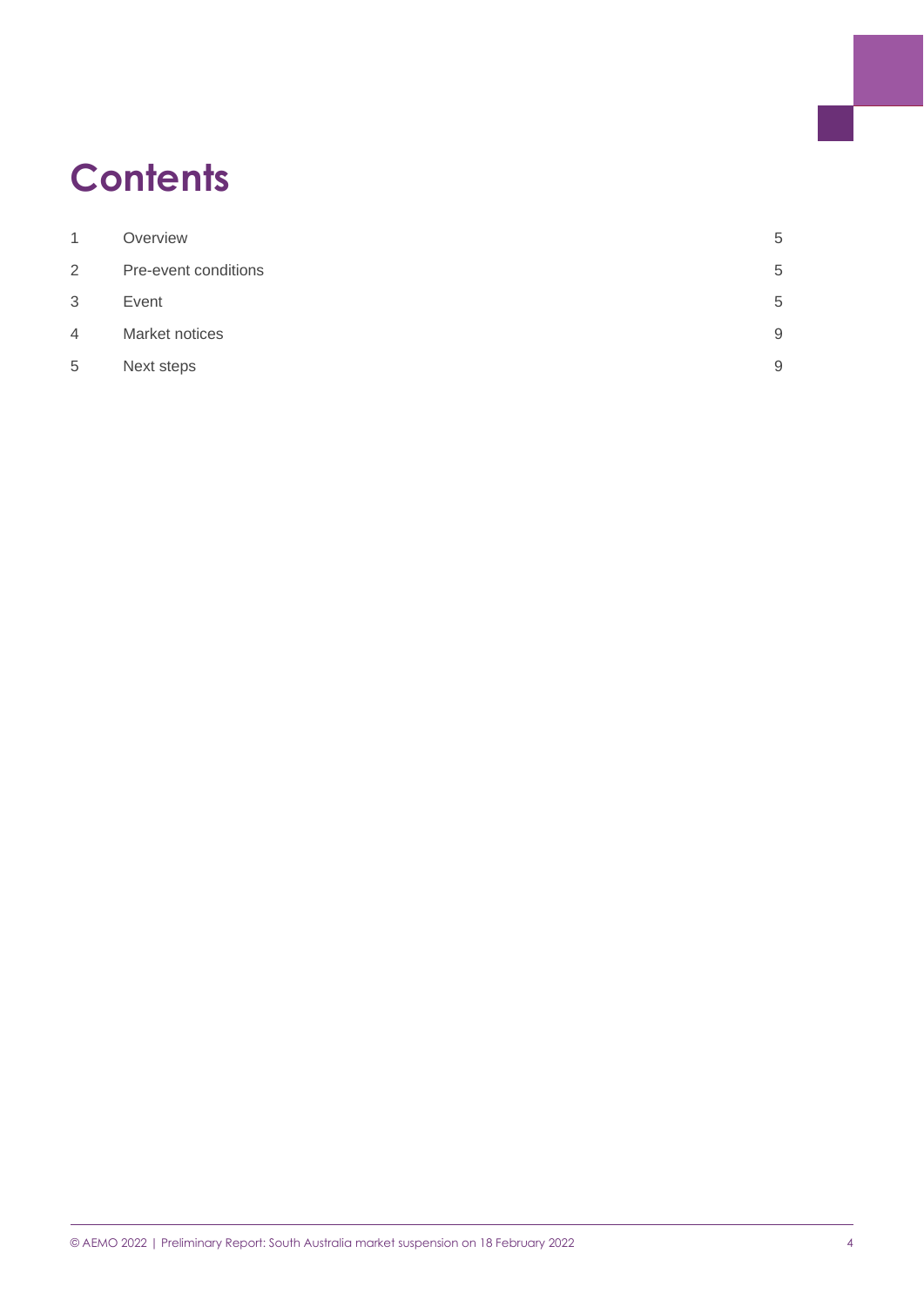## **Contents**

| 1              | Overview             | 5 |
|----------------|----------------------|---|
| $\overline{2}$ | Pre-event conditions | 5 |
| 3              | Event                | 5 |
| 4              | Market notices       | 9 |
| 5              | Next steps           | 9 |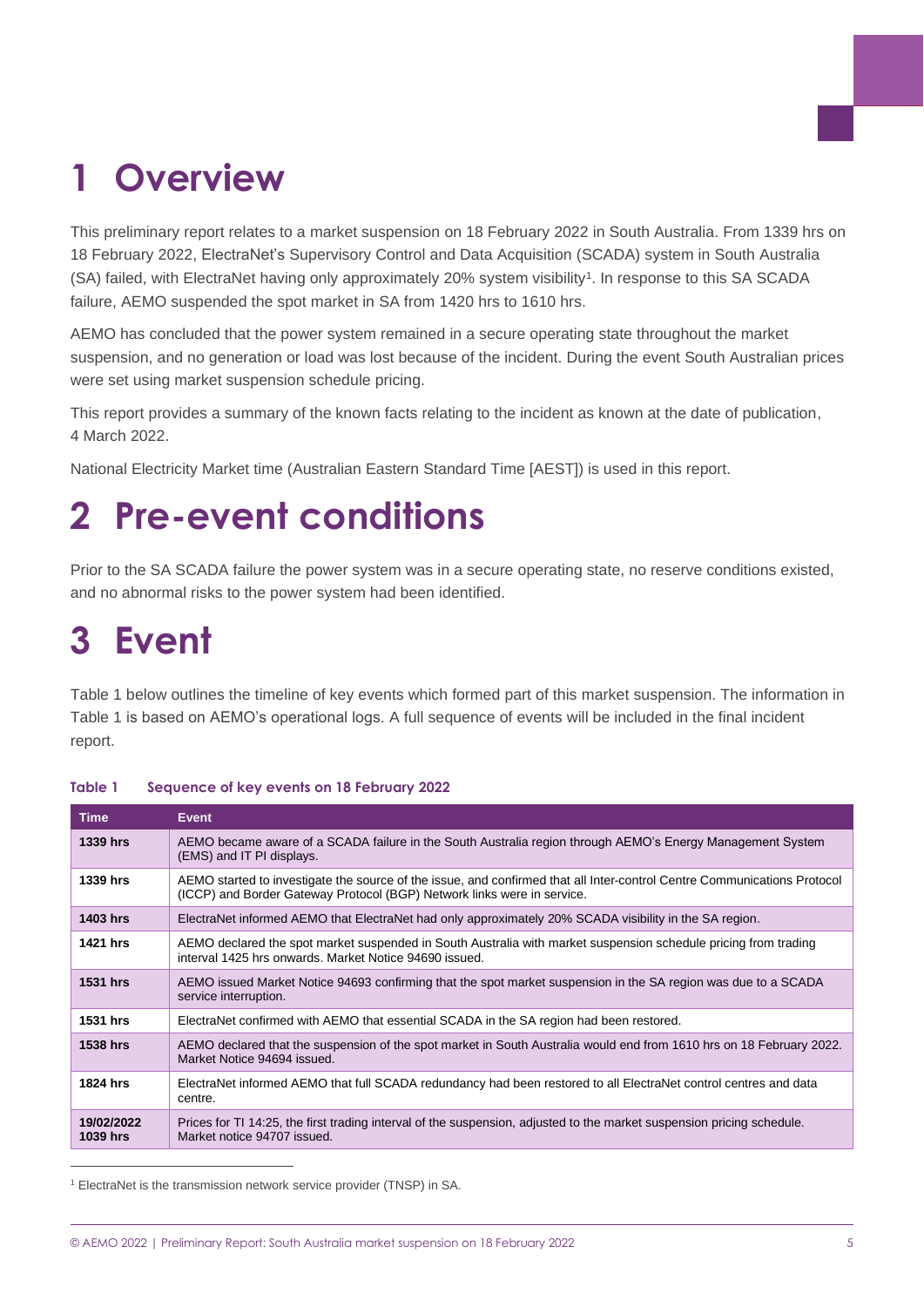# <span id="page-4-0"></span>**1 Overview**

This preliminary report relates to a market suspension on 18 February 2022 in South Australia. From 1339 hrs on 18 February 2022, ElectraNet's Supervisory Control and Data Acquisition (SCADA) system in South Australia (SA) failed, with ElectraNet having only approximately 20% system visibility<sup>1</sup>. In response to this SA SCADA failure, AEMO suspended the spot market in SA from 1420 hrs to 1610 hrs.

AEMO has concluded that the power system remained in a secure operating state throughout the market suspension, and no generation or load was lost because of the incident. During the event South Australian prices were set using market suspension schedule pricing.

This report provides a summary of the known facts relating to the incident as known at the date of publication, 4 March 2022.

National Electricity Market time (Australian Eastern Standard Time [AEST]) is used in this report.

## <span id="page-4-1"></span>**2 Pre-event conditions**

Prior to the SA SCADA failure the power system was in a secure operating state, no reserve conditions existed, and no abnormal risks to the power system had been identified.

### <span id="page-4-2"></span>**3 Event**

[Table 1](#page-4-3) below outlines the timeline of key events which formed part of this market suspension. The information in [Table 1](#page-4-3) is based on AEMO's operational logs. A full sequence of events will be included in the final incident report.

| <b>Time</b>                   | <b>Event</b>                                                                                                                                                                                        |
|-------------------------------|-----------------------------------------------------------------------------------------------------------------------------------------------------------------------------------------------------|
| 1339 hrs                      | AEMO became aware of a SCADA failure in the South Australia region through AEMO's Energy Management System<br>(EMS) and IT PI displays.                                                             |
| 1339 hrs                      | AEMO started to investigate the source of the issue, and confirmed that all Inter-control Centre Communications Protocol<br>(ICCP) and Border Gateway Protocol (BGP) Network links were in service. |
| <b>1403 hrs</b>               | ElectraNet informed AEMO that ElectraNet had only approximately 20% SCADA visibility in the SA region.                                                                                              |
| 1421 hrs                      | AEMO declared the spot market suspended in South Australia with market suspension schedule pricing from trading<br>interval 1425 hrs onwards. Market Notice 94690 issued.                           |
| <b>1531 hrs</b>               | AEMO issued Market Notice 94693 confirming that the spot market suspension in the SA region was due to a SCADA<br>service interruption.                                                             |
| <b>1531 hrs</b>               | ElectraNet confirmed with AEMO that essential SCADA in the SA region had been restored.                                                                                                             |
| <b>1538 hrs</b>               | AEMO declared that the suspension of the spot market in South Australia would end from 1610 hrs on 18 February 2022.<br>Market Notice 94694 issued.                                                 |
| 1824 hrs                      | ElectraNet informed AEMO that full SCADA redundancy had been restored to all ElectraNet control centres and data<br>centre.                                                                         |
| 19/02/2022<br><b>1039 hrs</b> | Prices for TI 14:25, the first trading interval of the suspension, adjusted to the market suspension pricing schedule.<br>Market notice 94707 issued.                                               |

#### <span id="page-4-3"></span>**Table 1 Sequence of key events on 18 February 2022**

<sup>1</sup> ElectraNet is the transmission network service provider (TNSP) in SA.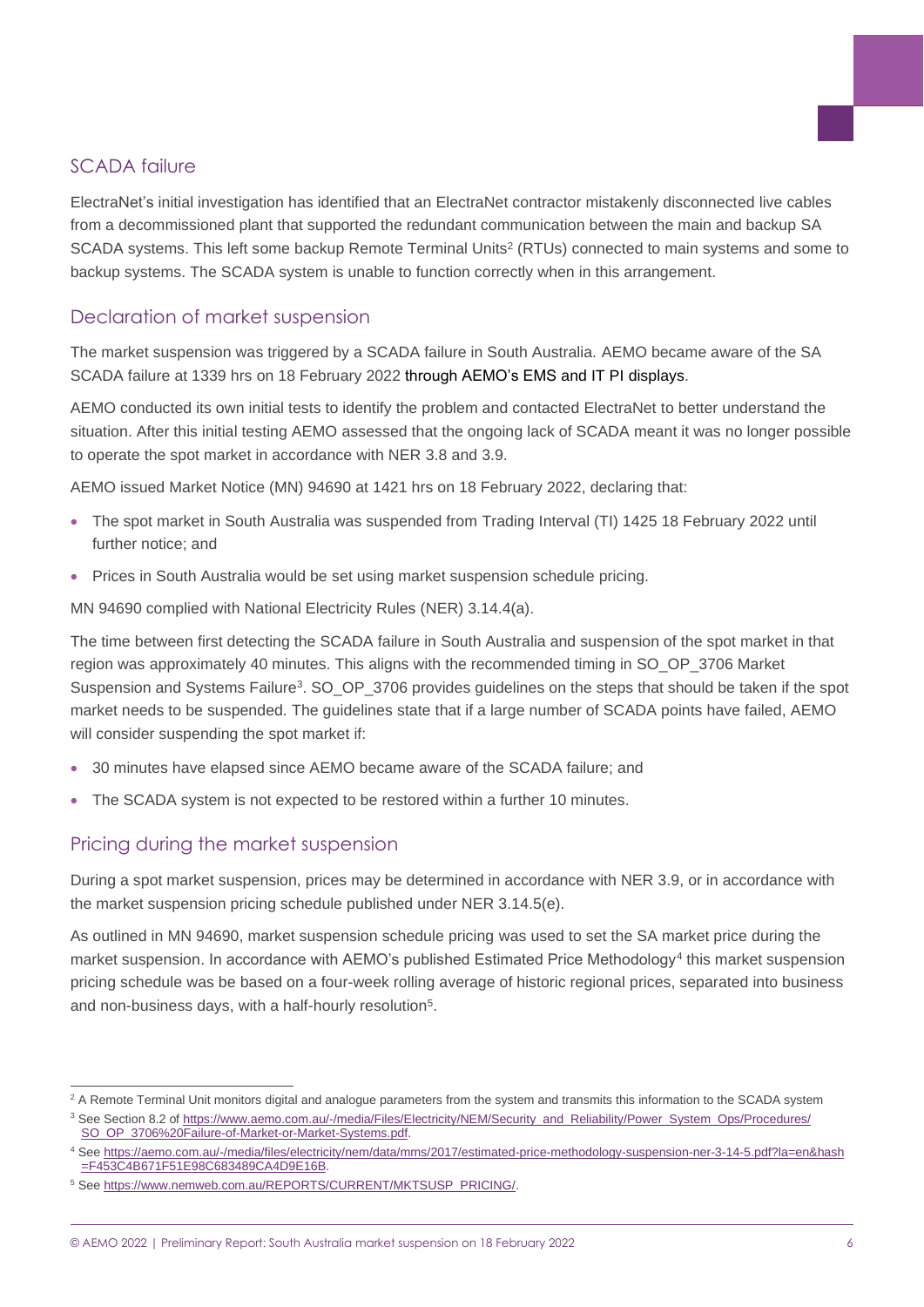#### SCADA failure

ElectraNet's initial investigation has identified that an ElectraNet contractor mistakenly disconnected live cables from a decommissioned plant that supported the redundant communication between the main and backup SA SCADA systems. This left some backup Remote Terminal Units<sup>2</sup> (RTUs) connected to main systems and some to backup systems. The SCADA system is unable to function correctly when in this arrangement.

#### Declaration of market suspension

The market suspension was triggered by a SCADA failure in South Australia. AEMO became aware of the SA SCADA failure at 1339 hrs on 18 February 2022 through AEMO's EMS and IT PI displays.

AEMO conducted its own initial tests to identify the problem and contacted ElectraNet to better understand the situation. After this initial testing AEMO assessed that the ongoing lack of SCADA meant it was no longer possible to operate the spot market in accordance with NER 3.8 and 3.9.

AEMO issued Market Notice (MN) 94690 at 1421 hrs on 18 February 2022, declaring that:

- The spot market in South Australia was suspended from Trading Interval (TI) 1425 18 February 2022 until further notice; and
- Prices in South Australia would be set using market suspension schedule pricing.

MN 94690 complied with National Electricity Rules (NER) 3.14.4(a).

The time between first detecting the SCADA failure in South Australia and suspension of the spot market in that region was approximately 40 minutes. This aligns with the recommended timing in SO\_OP\_3706 Market Suspension and Systems Failure<sup>3</sup>. SO\_OP\_3706 provides guidelines on the steps that should be taken if the spot market needs to be suspended. The guidelines state that if a large number of SCADA points have failed, AEMO will consider suspending the spot market if:

- 30 minutes have elapsed since AEMO became aware of the SCADA failure; and
- The SCADA system is not expected to be restored within a further 10 minutes.

#### Pricing during the market suspension

During a spot market suspension, prices may be determined in accordance with NER 3.9, or in accordance with the market suspension pricing schedule published under NER 3.14.5(e).

As outlined in MN 94690, market suspension schedule pricing was used to set the SA market price during the market suspension. In accordance with AEMO's published Estimated Price Methodology<sup>4</sup> this market suspension pricing schedule was be based on a four-week rolling average of historic regional prices, separated into business and non-business days, with a half-hourly resolution<sup>5</sup>.

<sup>&</sup>lt;sup>2</sup> A Remote Terminal Unit monitors digital and analogue parameters from the system and transmits this information to the SCADA system

<sup>&</sup>lt;sup>3</sup> See Section 8.2 of [https://www.aemo.com.au/-/media/Files/Electricity/NEM/Security\\_and\\_Reliability/Power\\_System\\_Ops/Procedures/](https://www.aemo.com.au/-/media/Files/Electricity/NEM/Security_and_Reliability/Power_System_Ops/Procedures/SO_OP_3706%20Failure-of-Market-or-Market-Systems.pdf) [SO\\_OP\\_3706%20Failure-of-Market-or-Market-Systems.pdf.](https://www.aemo.com.au/-/media/Files/Electricity/NEM/Security_and_Reliability/Power_System_Ops/Procedures/SO_OP_3706%20Failure-of-Market-or-Market-Systems.pdf)

<sup>4</sup> See [https://aemo.com.au/-/media/files/electricity/nem/data/mms/2017/estimated-price-methodology-suspension-ner-3-14-5.pdf?la=en&hash](https://aemo.com.au/-/media/files/electricity/nem/data/mms/2017/estimated-price-methodology-suspension-ner-3-14-5.pdf?la=en&hash=F453C4B671F51E98C683489CA4D9E16B) [=F453C4B671F51E98C683489CA4D9E16B.](https://aemo.com.au/-/media/files/electricity/nem/data/mms/2017/estimated-price-methodology-suspension-ner-3-14-5.pdf?la=en&hash=F453C4B671F51E98C683489CA4D9E16B)

<sup>5</sup> See [https://www.nemweb.com.au/REPORTS/CURRENT/MKTSUSP\\_PRICING/.](https://www.nemweb.com.au/REPORTS/CURRENT/MKTSUSP_PRICING/)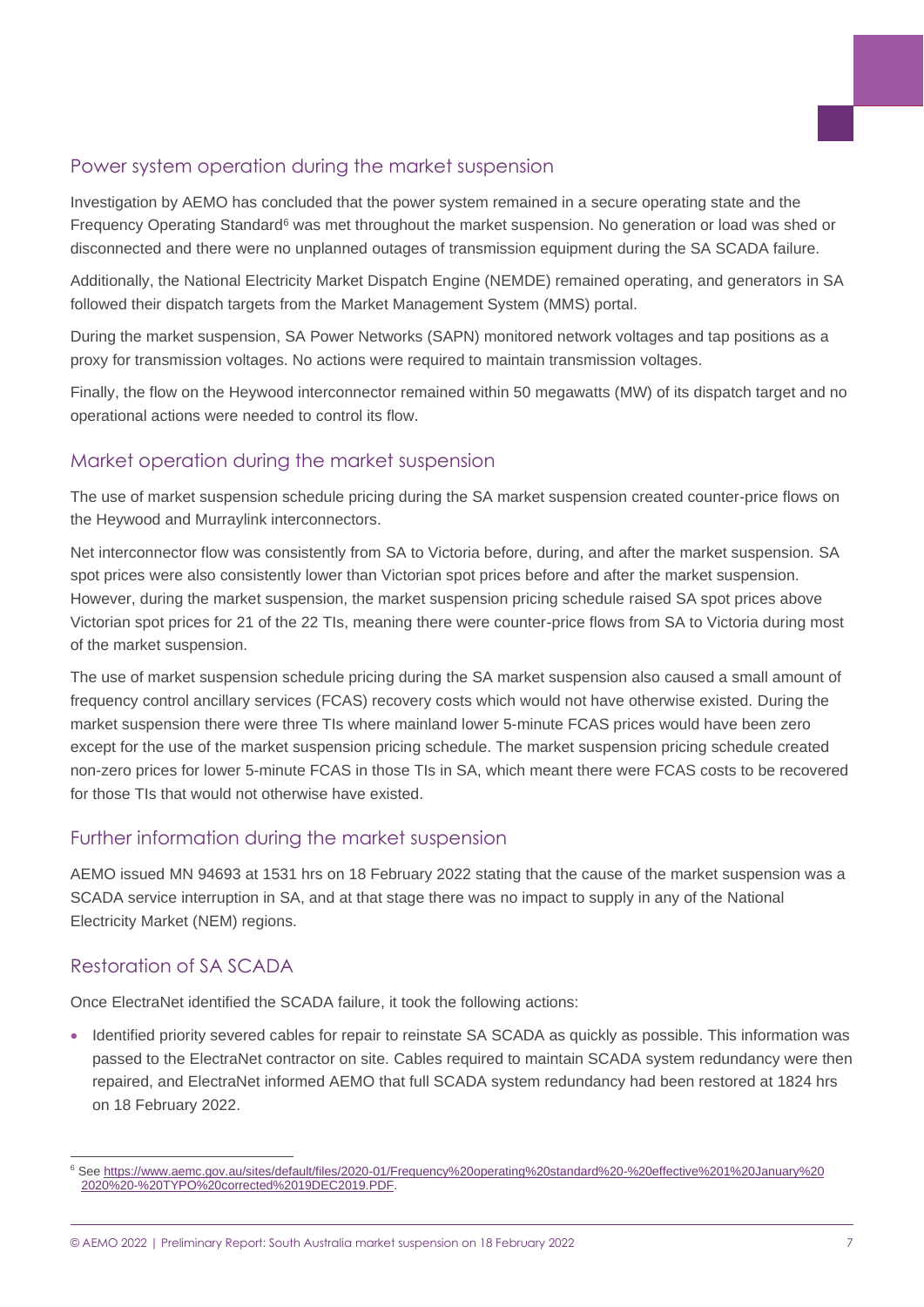#### Power system operation during the market suspension

Investigation by AEMO has concluded that the power system remained in a secure operating state and the Frequency Operating Standard<sup>6</sup> was met throughout the market suspension. No generation or load was shed or disconnected and there were no unplanned outages of transmission equipment during the SA SCADA failure.

Additionally, the National Electricity Market Dispatch Engine (NEMDE) remained operating, and generators in SA followed their dispatch targets from the Market Management System (MMS) portal.

During the market suspension, SA Power Networks (SAPN) monitored network voltages and tap positions as a proxy for transmission voltages. No actions were required to maintain transmission voltages.

Finally, the flow on the Heywood interconnector remained within 50 megawatts (MW) of its dispatch target and no operational actions were needed to control its flow.

#### Market operation during the market suspension

The use of market suspension schedule pricing during the SA market suspension created counter-price flows on the Heywood and Murraylink interconnectors.

Net interconnector flow was consistently from SA to Victoria before, during, and after the market suspension. SA spot prices were also consistently lower than Victorian spot prices before and after the market suspension. However, during the market suspension, the market suspension pricing schedule raised SA spot prices above Victorian spot prices for 21 of the 22 TIs, meaning there were counter-price flows from SA to Victoria during most of the market suspension.

The use of market suspension schedule pricing during the SA market suspension also caused a small amount of frequency control ancillary services (FCAS) recovery costs which would not have otherwise existed. During the market suspension there were three TIs where mainland lower 5-minute FCAS prices would have been zero except for the use of the market suspension pricing schedule. The market suspension pricing schedule created non-zero prices for lower 5-minute FCAS in those TIs in SA, which meant there were FCAS costs to be recovered for those TIs that would not otherwise have existed.

#### Further information during the market suspension

AEMO issued MN 94693 at 1531 hrs on 18 February 2022 stating that the cause of the market suspension was a SCADA service interruption in SA, and at that stage there was no impact to supply in any of the National Electricity Market (NEM) regions.

#### Restoration of SA SCADA

Once ElectraNet identified the SCADA failure, it took the following actions:

• Identified priority severed cables for repair to reinstate SA SCADA as quickly as possible. This information was passed to the ElectraNet contractor on site. Cables required to maintain SCADA system redundancy were then repaired, and ElectraNet informed AEMO that full SCADA system redundancy had been restored at 1824 hrs on 18 February 2022.

<sup>6</sup> See [https://www.aemc.gov.au/sites/default/files/2020-01/Frequency%20operating%20standard%20-%20effective%201%20January%20](https://www.aemc.gov.au/sites/default/files/2020-01/Frequency%20operating%20standard%20-%20effective%201%20January%202020%20-%20TYPO%20corrected%2019DEC2019.PDF) [2020%20-%20TYPO%20corrected%2019DEC2019.PDF.](https://www.aemc.gov.au/sites/default/files/2020-01/Frequency%20operating%20standard%20-%20effective%201%20January%202020%20-%20TYPO%20corrected%2019DEC2019.PDF)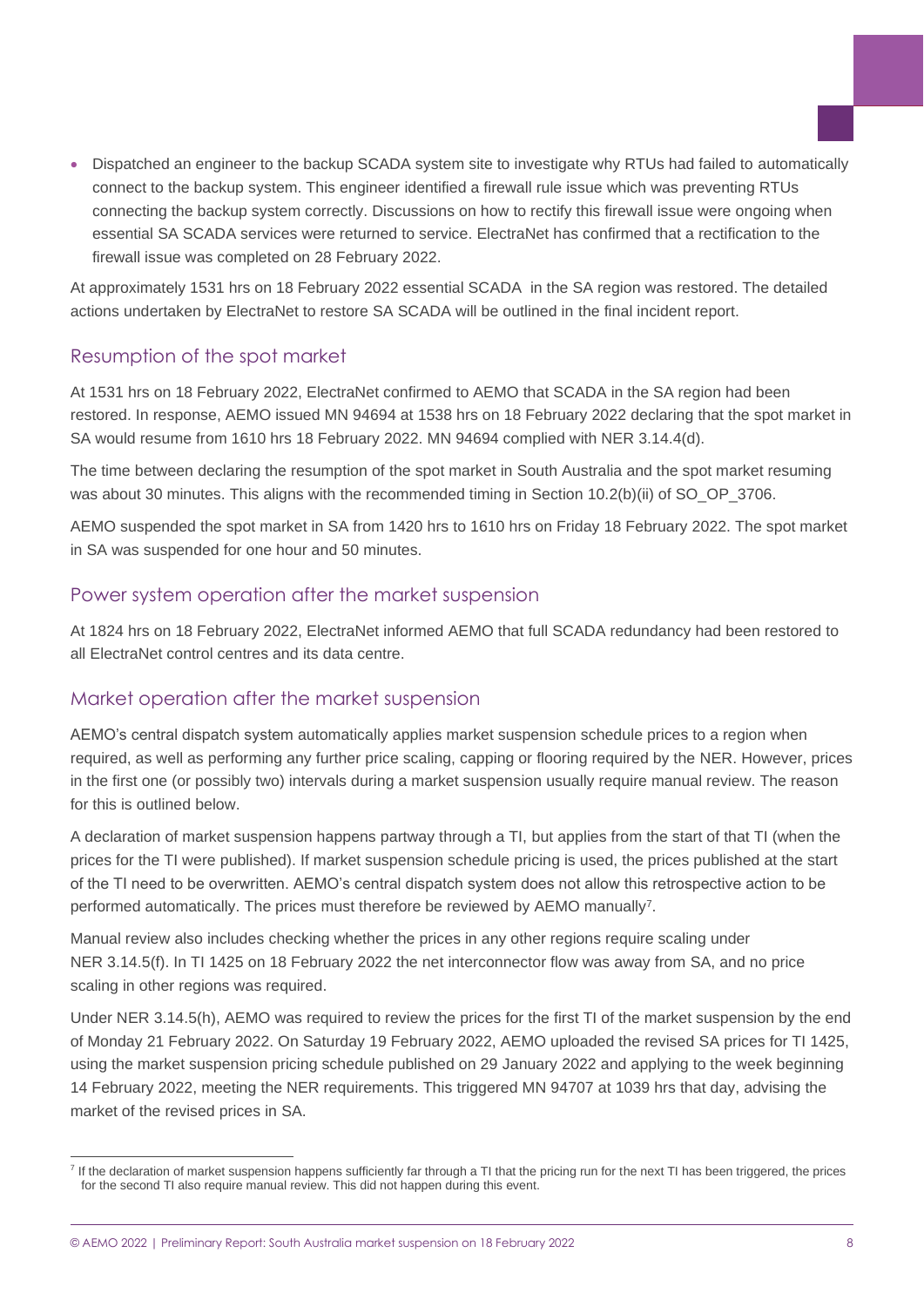• Dispatched an engineer to the backup SCADA system site to investigate why RTUs had failed to automatically connect to the backup system. This engineer identified a firewall rule issue which was preventing RTUs connecting the backup system correctly. Discussions on how to rectify this firewall issue were ongoing when essential SA SCADA services were returned to service. ElectraNet has confirmed that a rectification to the firewall issue was completed on 28 February 2022.

At approximately 1531 hrs on 18 February 2022 essential SCADA in the SA region was restored. The detailed actions undertaken by ElectraNet to restore SA SCADA will be outlined in the final incident report.

#### Resumption of the spot market

At 1531 hrs on 18 February 2022, ElectraNet confirmed to AEMO that SCADA in the SA region had been restored. In response, AEMO issued MN 94694 at 1538 hrs on 18 February 2022 declaring that the spot market in SA would resume from 1610 hrs 18 February 2022. MN 94694 complied with NER 3.14.4(d).

The time between declaring the resumption of the spot market in South Australia and the spot market resuming was about 30 minutes. This aligns with the recommended timing in Section 10.2(b)(ii) of SO OP 3706.

AEMO suspended the spot market in SA from 1420 hrs to 1610 hrs on Friday 18 February 2022. The spot market in SA was suspended for one hour and 50 minutes.

#### Power system operation after the market suspension

At 1824 hrs on 18 February 2022, ElectraNet informed AEMO that full SCADA redundancy had been restored to all ElectraNet control centres and its data centre.

#### Market operation after the market suspension

AEMO's central dispatch system automatically applies market suspension schedule prices to a region when required, as well as performing any further price scaling, capping or flooring required by the NER. However, prices in the first one (or possibly two) intervals during a market suspension usually require manual review. The reason for this is outlined below.

A declaration of market suspension happens partway through a TI, but applies from the start of that TI (when the prices for the TI were published). If market suspension schedule pricing is used, the prices published at the start of the TI need to be overwritten. AEMO's central dispatch system does not allow this retrospective action to be performed automatically. The prices must therefore be reviewed by AEMO manually<sup>7</sup>.

Manual review also includes checking whether the prices in any other regions require scaling under NER 3.14.5(f). In TI 1425 on 18 February 2022 the net interconnector flow was away from SA, and no price scaling in other regions was required.

Under NER 3.14.5(h), AEMO was required to review the prices for the first TI of the market suspension by the end of Monday 21 February 2022. On Saturday 19 February 2022, AEMO uploaded the revised SA prices for TI 1425, using the market suspension pricing schedule published on 29 January 2022 and applying to the week beginning 14 February 2022, meeting the NER requirements. This triggered MN 94707 at 1039 hrs that day, advising the market of the revised prices in SA.

<sup>&</sup>lt;sup>7</sup> If the declaration of market suspension happens sufficiently far through a TI that the pricing run for the next TI has been triggered, the prices for the second TI also require manual review. This did not happen during this event.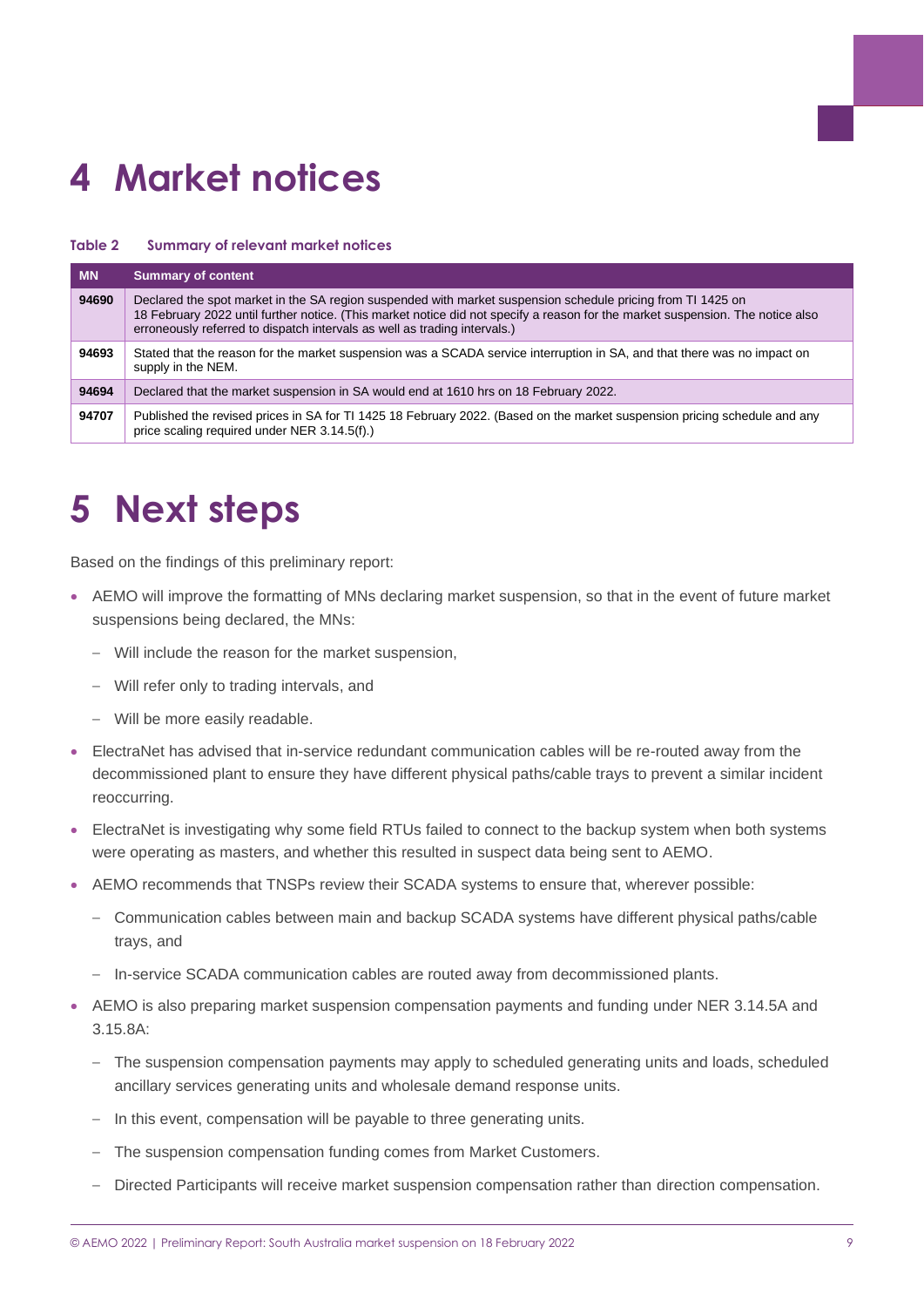# <span id="page-8-0"></span>**4 Market notices**

#### **Table 2 Summary of relevant market notices**

| <b>MN</b> | <b>Summary of content</b>                                                                                                                                                                                                                                                                                                  |
|-----------|----------------------------------------------------------------------------------------------------------------------------------------------------------------------------------------------------------------------------------------------------------------------------------------------------------------------------|
| 94690     | Declared the spot market in the SA region suspended with market suspension schedule pricing from TI 1425 on<br>18 February 2022 until further notice. (This market notice did not specify a reason for the market suspension. The notice also<br>erroneously referred to dispatch intervals as well as trading intervals.) |
| 94693     | Stated that the reason for the market suspension was a SCADA service interruption in SA, and that there was no impact on<br>supply in the NEM.                                                                                                                                                                             |
| 94694     | Declared that the market suspension in SA would end at 1610 hrs on 18 February 2022.                                                                                                                                                                                                                                       |
| 94707     | Published the revised prices in SA for TI 1425 18 February 2022. (Based on the market suspension pricing schedule and any<br>price scaling required under NER 3.14.5(f).)                                                                                                                                                  |

### <span id="page-8-1"></span>**5 Next steps**

Based on the findings of this preliminary report:

- AEMO will improve the formatting of MNs declaring market suspension, so that in the event of future market suspensions being declared, the MNs:
	- Will include the reason for the market suspension,
	- Will refer only to trading intervals, and
	- Will be more easily readable.
- ElectraNet has advised that in-service redundant communication cables will be re-routed away from the decommissioned plant to ensure they have different physical paths/cable trays to prevent a similar incident reoccurring.
- ElectraNet is investigating why some field RTUs failed to connect to the backup system when both systems were operating as masters, and whether this resulted in suspect data being sent to AEMO.
- AEMO recommends that TNSPs review their SCADA systems to ensure that, wherever possible:
	- Communication cables between main and backup SCADA systems have different physical paths/cable trays, and
	- In-service SCADA communication cables are routed away from decommissioned plants.
- AEMO is also preparing market suspension compensation payments and funding under NER 3.14.5A and 3.15.8A:
	- The suspension compensation payments may apply to scheduled generating units and loads, scheduled ancillary services generating units and wholesale demand response units.
	- In this event, compensation will be payable to three generating units.
	- The suspension compensation funding comes from Market Customers.
	- Directed Participants will receive market suspension compensation rather than direction compensation.